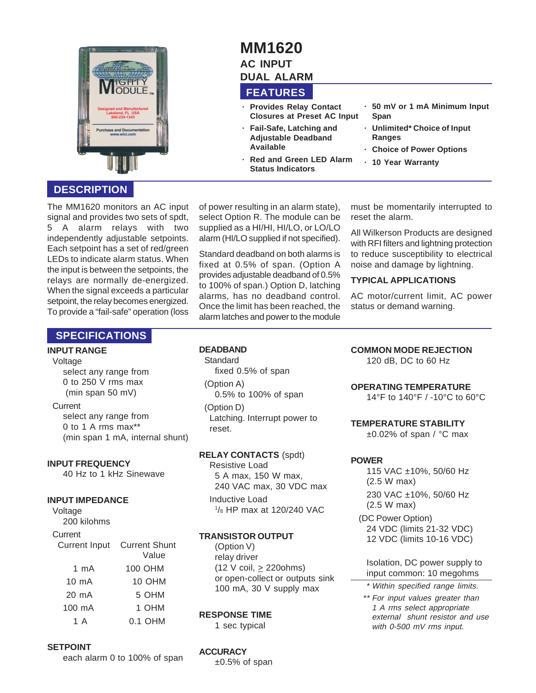

## **DESCRIPTION**

The MM1620 monitors an AC input signal and provides two sets of spdt, 5 A alarm relays with two independently adjustable setpoints. Each setpoint has a set of red/green LEDs to indicate alarm status. When the input is between the setpoints, the relays are normally de-energized. When the signal exceeds a particular setpoint, the relay becomes energized. To provide a "fail-safe" operation (loss

#### of power resulting in an alarm state), select Option R. The module can be supplied as a HI/HI, HI/LO, or LO/LO alarm (HI/LO supplied if not specified).

**FEATURES**

**Available**

**· Provides Relay Contact Closures at Preset AC Input · Fail-Safe, Latching and Adjustable Deadband**

**· Red and Green LED Alarm Status Indicators**

**MM1620 AC INPUT DUAL ALARM**

Standard deadband on both alarms is fixed at 0.5% of span. (Option A provides adjustable deadband of 0.5% to 100% of span.) Option D, latching alarms, has no deadband control. Once the limit has been reached, the alarm latches and power to the module must be momentarily interrupted to reset the alarm.

**· 50 mV or 1 mA Minimum Input**

**· Unlimited\* Choice of Input**

**· Choice of Power Options**

**· 10 Year Warranty**

**Span**

**Ranges**

All Wilkerson Products are designed with RFI filters and lightning protection to reduce susceptibility to electrical noise and damage by lightning.

#### **TYPICAL APPLICATIONS**

AC motor/current limit, AC power status or demand warning.

### **SPECIFICATIONS**

#### **INPUT RANGE**

Voltage

select any range from 0 to 250 V rms max (min span 50 mV)

**Current** select any range from 0 to 1 A rms max\*\* (min span 1 mA, internal shunt)

#### **INPUT FREQUENCY**

40 Hz to 1 kHz Sinewave

#### **INPUT IMPEDANCE**

Voltage 200 kilohms **Current** Current Input Current Shunt

|                 | Value   |
|-----------------|---------|
| 1 mA            | 100 OHM |
| $10 \text{ mA}$ | 10 OHM  |
| 20 mA           | 5 OHM   |
| 100 mA          | 1 OHM   |
| 1 A             | 0.1 OHM |
|                 |         |

#### **SETPOINT**

each alarm 0 to 100% of span

### **DEADBAND**

**Standard** fixed 0.5% of span

(Option A) 0.5% to 100% of span

(Option D) Latching. Interrupt power to reset.

#### **RELAY CONTACTS** (spdt)

Resistive Load 5 A max, 150 W max, 240 VAC max, 30 VDC max Inductive Load

1 /8 HP max at 120/240 VAC

#### **TRANSISTOR OUTPUT**

(Option V) relay driver (12 V coil,  $\geq$  220ohms) or open-collect or outputs sink 100 mA, 30 V supply max

#### **RESPONSE TIME**

1 sec typical

## **COMMON MODE REJECTION**

120 dB, DC to 60 Hz

#### **OPERATING TEMPERATURE**

14°F to 140°F / -10°C to 60°C

#### **TEMPERATURE STABILITY**

 $\pm 0.02\%$  of span / °C max

#### **POWER**

115 VAC ±10%, 50/60 Hz (2.5 W max) 230 VAC ±10%, 50/60 Hz (2.5 W max)

(DC Power Option) 24 VDC (limits 21-32 VDC) 12 VDC (limits 10-16 VDC)

Isolation, DC power supply to input common: 10 megohms

- \* Within specified range limits.
- \*\* For input values greater than 1 A rms select appropriate external shunt resistor and use with 0-500 mV rms input.

**ACCURACY**

 $±0.5%$  of span